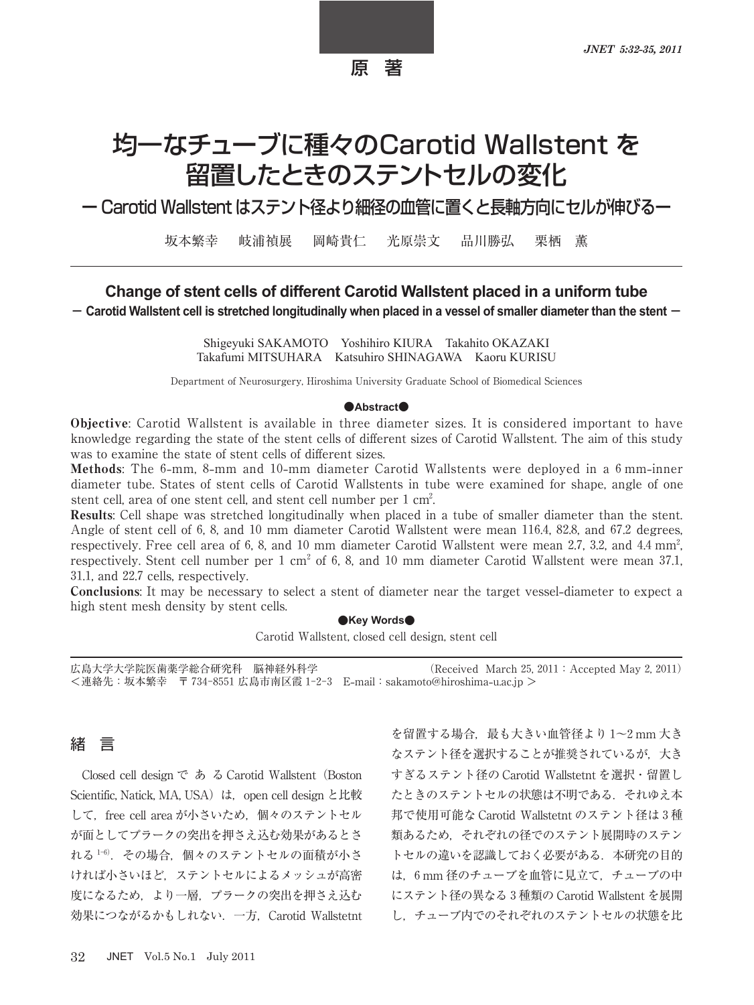# 均一なチューブに種々のCarotid Wallstent を 留置したときのステントセルの変化

ー Carotid Wallstent はステント径より細径の血管に置くと長軸方向にセルが伸びるー

坂本繁幸 岐浦禎展 岡崎貴仁 光原崇文 品川勝弘 栗栖 薫

# Change of stent cells of different Carotid Wallstent placed in a uniform tube

- Carotid Wallstent cell is stretched longitudinally when placed in a vessel of smaller diameter than the stent -

Shigeyuki SAKAMOTO Yoshihiro KIURA Takahito OKAZAKI Takafumi MITSUHARA Katsuhiro SHINAGAWA Kaoru KURISU

Department of Neurosurgery, Hiroshima University Graduate School of Biomedical Sciences

#### $\bullet$ **Abstract**

Objective: Carotid Wallstent is available in three diameter sizes. It is considered important to have knowledge regarding the state of the stent cells of different sizes of Carotid Wallstent. The aim of this study was to examine the state of stent cells of different sizes.

**Methods:** The 6-mm, 8-mm and 10-mm diameter Carotid Wallstents were deployed in a 6 mm-inner diameter tube. States of stent cells of Carotid Wallstents in tube were examined for shape, angle of one stent cell, area of one stent cell, and stent cell number per  $1 \text{ cm}^2$ . .

Results: Cell shape was stretched longitudinally when placed in a tube of smaller diameter than the stent. Angle of stent cell of  $6, 8$ , and  $10 \text{ mm diameter}$  Carotid Wallstent were mean 116.4, 82.8, and  $67.2$  degrees, respectively. Free cell area of 6, 8, and 10 mm diameter Carotid Wallstent were mean 2.7, 3.2, and 4.4 mm<sup>2</sup>. , respectively. Stent cell number per  $1 \text{ cm}^2$  of 6, 8, and  $10 \text{ mm diameter}$  Carotid Wallstent were mean 37.1, 31.1, and 22.7 cells, respectively.

Conclusions: It may be necessary to select a stent of diameter near the target vessel**-**diameter to expect a high stent mesh density by stent cells.

#### ●**Key Words●**

Carotid Wallstent, closed cell design, stent cell

広島大学大学院医歯薬学総合研究科 脳神経外科学 (Received March 25, 2011 : Accepted May 2, 2011) <連絡先:坂本繁幸 〒 広島市南区霞 E**-**mail:sakamoto@hiroshima**-**u.ac.jp >

## 緒 言

Closed cell design で あ る Carotid Wallstent (Boston Scientific, Natick, MA, USA) は, open cell design と比較 して、free cell area が小さいため、個々のステントセル が面としてプラークの突出を押さえ込む効果があるとさ れる<sup>1-6)</sup>. その場合, 個々のステントセルの面積が小さ ければ小さいほど,ステントセルによるメッシュが高密 度になるため,より一層,プラークの突出を押さえ込む 効果につながるかもしれない.一方,Carotid Wallstetnt

を留置する場合,最も大きい血管径より $1$ ~2 mm 大き なステント径を選択することが推奨されているが,大き すぎるステント径の Carotid Wallstetnt を選択・留置し たときのステントセルの状態は不明である.それゆえ本 邦で使用可能な Carotid Wallstetnt のステント径は3種 類あるため,それぞれの径でのステント展開時のステン トセルの違いを認識しておく必要がある. 本研究の目的 は、6 mm 径のチューブを血管に見立て、チューブの中 にステント径の異なる 種類の Carotid Wallstent を展開 し,チューブ内でのそれぞれのステントセルの状態を比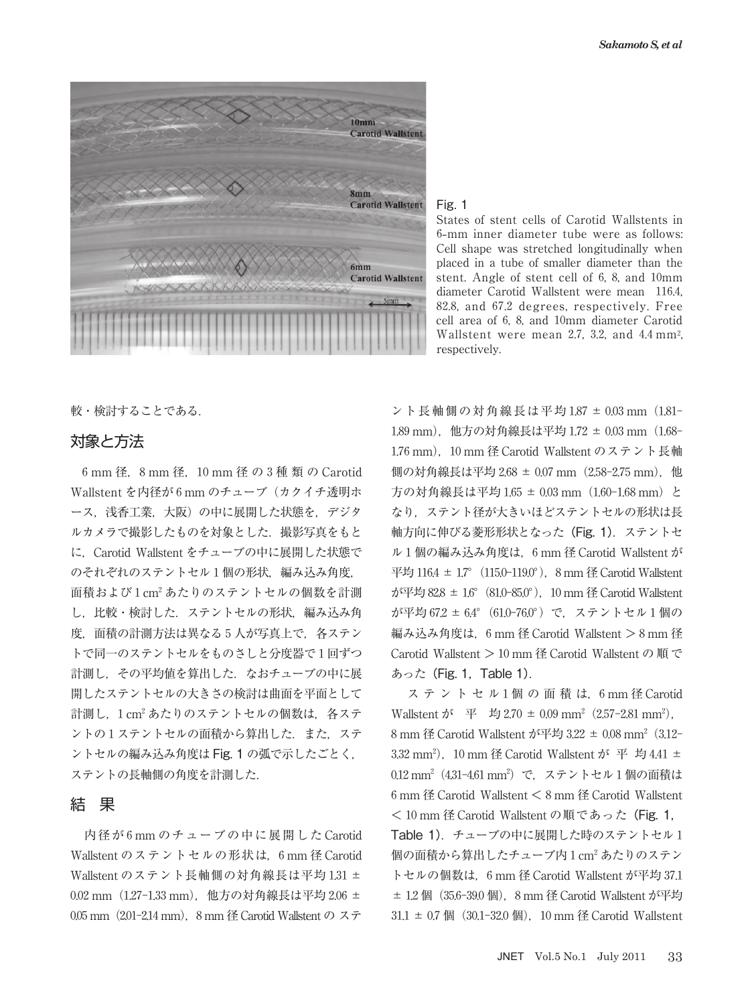

Fig. 1

States of stent cells of Carotid Wallstents in **-**mm inner diameter tube were as follows: Cell shape was stretched longitudinally when placed in a tube of smaller diameter than the stent. Angle of stent cell of  $6, 8$ , and  $10 \text{mm}$ diameter Carotid Wallstent were mean 116.4, 82.8, and 67.2 degrees, respectively. Free cell area of 6, 8, and 10mm diameter Carotid Wallstent were mean 2.7, 3.2, and  $4.4 \text{ mm}^2$ . respectively.

較・検討することである.

## 対象と方法

6 mm 径, 8 mm 径, 10 mm 径 の 3 種 類 の Carotid Wallstent を内径が 6 mm のチューブ (カクイチ透明ホ ース,浅香工業,大阪)の中に展開した状態を,デジタ ルカメラで撮影したものを対象とした.撮影写真をもと に,Carotid Wallstent をチューブの中に展開した状態で のそれぞれのステントセル1個の形状. 編み込み角度, 面積および1cm<sup>2</sup>あたりのステントセルの個数を計測 し、比較・検討した. ステントセルの形状、編み込み角 度, 面積の計測方法は異なる5人が写真上で、各ステン トで同一のステントセルをものさしと分度器で1回ずつ 計測し,その平均値を算出した.なおチューブの中に展 開したステントセルの大きさの検討は曲面を平面として 計測し, 1 cm<sup>2</sup> あたりのステントセルの個数は、 各ステ ントの1ステントセルの面積から算出した. また、ステ ントセルの編み込み角度は Fig. 1 の弧で示したごとく, ステントの長軸側の角度を計測した.

### 結 果

内径が 6 mm のチューブの中に展開した Carotid Wallstent のステントセルの形状は, 6 mm 径 Carotid Wallstent のステント長軸側の対角線長は平均 1.31 ± 0.02 mm (1.27-1.33 mm), 他方の対角線長は平均 2.06 ± 0.05 mm (2.01-2.14 mm), 8 mm 径 Carotid Wallstent の ステ

ント長軸側の対角線長は平均 1.87 ± 0.03 mm (1.81-1,89 mm), 他方の対角線長は平均 1,72 ± 0,03 mm (1,68-1.76 mm). 10 mm 径 Carotid Wallstent のステント長軸 側の対角線長は平均 2.68 ± 0.07 mm (2.58-2.75 mm), 他 方の対角線長は平均 1.65 ± 0.03 mm (1.60-1.68 mm) と なり、ステント径が大きいほどステントセルの形状は長 軸方向に伸びる菱形形状となった(Fig. 1).ステントセ ル 1 個の編み込み角度は, 6 mm 径 Carotid Wallstent が 平均  $116.4 \pm 17^{\circ}$  (115.0-119.0°). 8 mm 径 Carotid Wallstent. が平均 82.8  $\pm$  1.6° (81.0-85.0°). 10 mm 径 Carotid Wallstent が平均 67.2 ± 6.4° (61.0-76.0°) で、ステントセル 1 個の 編み込み角度は, 6 mm 径 Carotid Wallstent > 8 mm 径 Carotid Wallstent  $> 10$  mm 径 Carotid Wallstent の 順 で あった(Fig. 1,Table 1).

ステントセル1個の面積は. 6mm径 Carotid Wallstent が 平 均 2.70  $\pm$  0.09 mm<sup>2</sup> (2.57-2.81 mm<sup>2</sup>), 8 mm 径 Carotid Wallstent が平均 3.22 ± 0.08 mm<sup>2</sup> (3.12-3.32 mm<sup>2</sup>), 10 mm 径 Carotid Wallstent が 平 均 4.41 ± 0.12 mm<sup>2</sup> (4.31-4.61 mm<sup>2</sup>) で,ステントセル 1 個の面積は  $6 \text{ mm}$  径 Carotid Wallstent  $\leq 8 \text{ mm}$  径 Carotid Wallstent < 10 mm 径 Carotid Wallstent の順であった (Fig. 1, Table 1). チューブの中に展開した時のステントセル1 個の面積から算出したチューブ内 1 cm<sup>2</sup> あたりのステン トセルの個数は、6 mm 径 Carotid Wallstent が平均 37.1  $\pm$  1.2 個 (35.6-39.0 個), 8 mm 径 Carotid Wallstent が平均  $31.1 \pm 0.7$  個 (30.1-32.0 個), 10 mm 径 Carotid Wallstent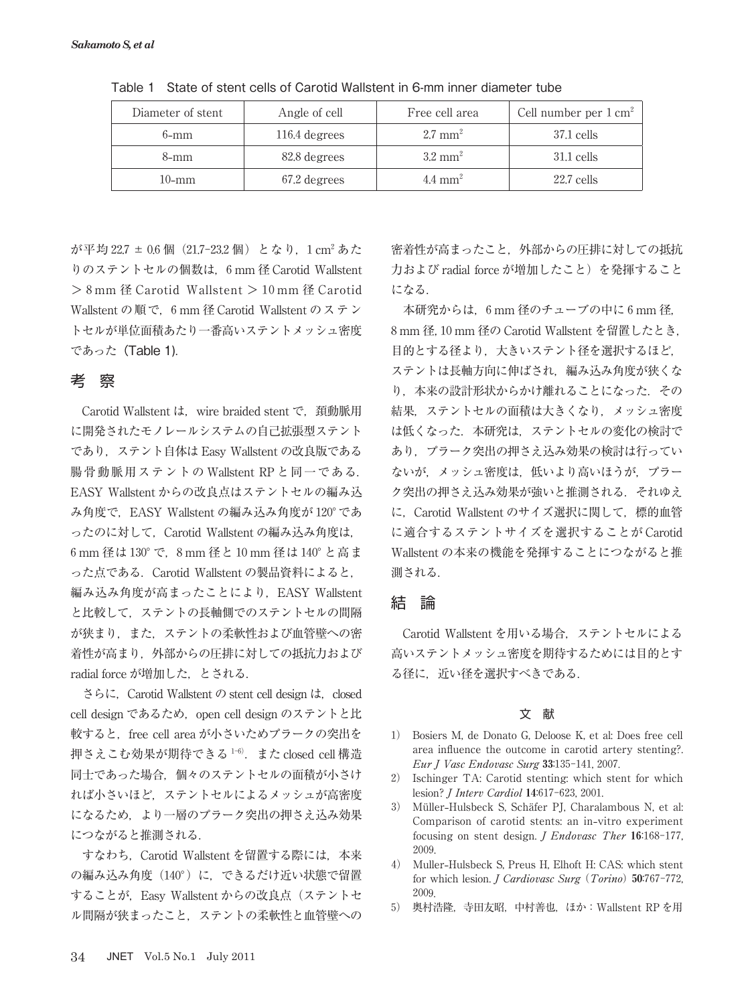| Diameter of stent | Angle of cell | Free cell area     | Cell number per $1 \text{ cm}^2$ |
|-------------------|---------------|--------------------|----------------------------------|
| $6-mm$            | 116.4 degrees | $2.7 \text{ mm}^2$ | $37.1$ cells                     |
| 8-mm              | 82.8 degrees  | $3.2 \text{ mm}^2$ | $31.1$ cells                     |
| $10$ -mm          | 67.2 degrees  | $4.4 \text{ mm}^2$ | $22.7$ cells                     |

Table 1 State of stent cells of Carotid Wallstent in 6-mm inner diameter tube

が平均 22.7 ± 0.6 個 (21.7-23.2 個) となり, 1 cm<sup>2</sup> あた りのステントセルの個数は, 6 mm 径 Carotid Wallstent  $> 8$  mm 径 Carotid Wallstent  $> 10$  mm 径 Carotid Wallstent の順で, 6 mm 径 Carotid Wallstent のステン トセルが単位面積あたり一番高いステントメッシュ密度 であった(Table 1).

# 考 察

Carotid Wallstent は, wire braided stent で, 頚動脈用 に開発されたモノレールシステムの自己拡張型ステント であり,ステント自体は Easy Wallstent の改良版である 腸骨動脈用ステントの Wallstent RP と同一である. EASY Wallstent からの改良点はステントセルの編み込 み角度で, EASY Wallstent の編み込み角度が 120°であ ったのに対して、Carotid Wallstent の編み込み角度は, 6 mm 径は 130° で. 8 mm 径と 10 mm 径は 140° と高ま った点である.Carotid Wallstent の製品資料によると, 編み込み角度が高まったことにより、EASY Wallstent と比較して,ステントの長軸側でのステントセルの間隔 が狭まり、また、ステントの柔軟性および血管壁への密 着性が高まり,外部からの圧排に対しての抵抗力および radial force が増加した,とされる.

さらに, Carotid Wallstent の stent cell design は, closed cell design であるため, open cell design のステントと比 較すると, free cell area が小さいためプラークの突出を 押さえこむ効果が期待できる $1-6$ ). また closed cell 構造 同士であった場合,個々のステントセルの面積が小さけ れば小さいほど,ステントセルによるメッシュが高密度 になるため,より一層のプラーク突出の押さえ込み効果 につながると推測される.

すなわち, Carotid Wallstent を留置する際には、本来 の編み込み角度 (140°) に、できるだけ近い状態で留置 することが, Easy Wallstent からの改良点 (ステントセ ル間隔が狭まったこと,ステントの柔軟性と血管壁への 密着性が高まったこと,外部からの圧排に対しての抵抗 力および radial force が増加したこと)を発揮すること になる.

本研究からは, 6 mm 径のチューブの中に 6 mm 径, mm 径, mm 径の Carotid Wallstent を留置したとき, 目的とする径より,大きいステント径を選択するほど, ステントは長軸方向に伸ばされ,編み込み角度が狭くな り、本来の設計形状からかけ離れることになった. その 結果,ステントセルの面積は大きくなり,メッシュ密度 は低くなった. 本研究は. ステントセルの変化の検討で あり、プラーク突出の押さえ込み効果の検討は行ってい ないが,メッシュ密度は,低いより高いほうが,プラー ク突出の押さえ込み効果が強いと推測される. それゆえ に、Carotid Wallstent のサイズ選択に関して、標的血管 に適合するステントサイズを選択することが Carotid Wallstent の本来の機能を発揮することにつながると推 測される.

## 結 論

Carotid Wallstent を用いる場合,ステントセルによる 高いステントメッシュ密度を期待するためには目的とす る径に,近い径を選択すべきである.

#### 文 献

- ) Bosiers M, de Donato G, Deloose K, et al: Does free cell area influence the outcome in carotid artery stenting?. Eur J Vasc Endovasc Surg  $33:135-141$ , 2007.
- ) Ischinger TA: Carotid stenting: which stent for which lesion? *J Interv Cardiol* 14:617-623, 2001.
- ) Müller**-**Hulsbeck S, Schäfer PJ, Charalambous N, et al: Comparison of carotid stents: an in**-**vitro experiment focusing on stent design. *J Endovasc Ther*  $16:168-177$ , 2009.
- ) Muller**-**Hulsbeck S, Preus H, Elhoft H: CAS: which stent for which lesion. *J Cardiovasc Surg* (*Torino*) 50.767-772, 2009.
- ) 奥村浩隆,寺田友昭,中村善也,ほか:Wallstent RP を用